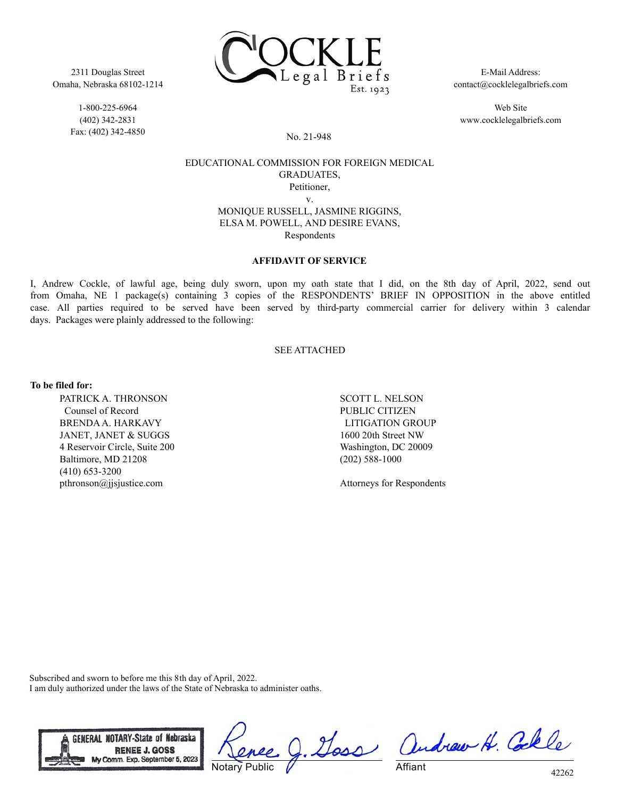

2311 Douglas Street Omaha, Nebraska 68102-1214

> 1-800-225-6964 (402) 342-2831 Fax: (402) 342-4850

E-Mail Address: contact@cocklelegalbriefs.com

Web Site www.cocklelegalbriefs.com

#### No. 21-948

# EDUCATIONAL COMMISSION FOR FOREIGN MEDICAL GRADUATES, Petitioner, v.

MONIQUE RUSSELL, JASMINE RIGGINS, ELSA M. POWELL, AND DESIRE EVANS, Respondents

## **AFFIDAVIT OF SERVICE**

I, Andrew Cockle, of lawful age, being duly sworn, upon my oath state that I did, on the 8th day of April, 2022, send out from Omaha, NE 1 package(s) containing 3 copies of the RESPONDENTS' BRIEF IN OPPOSITION in the above entitled case. All parties required to be served have been served by third-party commercial carrier for delivery within 3 calendar days. Packages were plainly addressed to the following:

## SEE ATTACHED

#### **To be filed for:**

PATRICK A. THRONSON Counsel of Record BRENDA A. HARKAVY JANET, JANET & SUGGS 4 Reservoir Circle, Suite 200 Baltimore, MD 21208 (410) 653-3200 pthronson@jjsjustice.com

SCOTT L. NELSON PUBLIC CITIZEN LITIGATION GROUP 1600 20th Street NW Washington, DC 20009 (202) 588-1000

Attorneys for Respondents

Subscribed and sworn to before me this 8th day of April, 2022. I am duly authorized under the laws of the State of Nebraska to administer oaths.



Notary Public

Doss andrew H. Colle